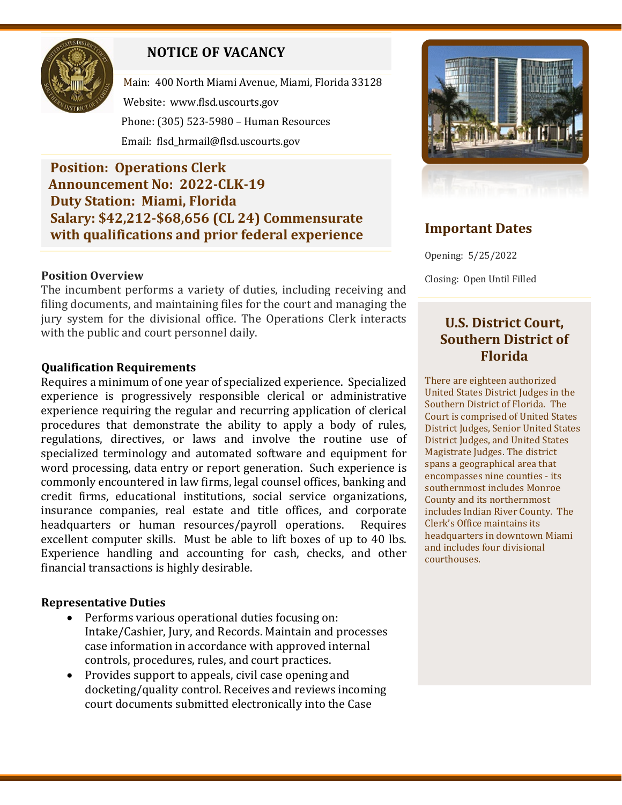

# **NOTICE OF VACANCY**

Main: 400 North Miami Avenue, Miami, Florida 33128 Website: [www.flsd.uscourts.gov](http://www.flsd.uscourts.gov/) Phone: (305) 523-5980 – Human Resources Email: flsd\_hrmail@flsd.uscourts.gov

**Position: Operations Clerk Announcement No: 2022-CLK-19 Duty Station: Miami, Florida Salary: \$42,212-\$68,656 (CL 24) Commensurate with qualifications and prior federal experience**

#### **Position Overview**

The incumbent performs a variety of duties, including receiving and filing documents, and maintaining files for the court and managing the jury system for the divisional office. The Operations Clerk interacts with the public and court personnel daily.

#### **Qualification Requirements**

Requires a minimum of one year of specialized experience. Specialized experience is progressively responsible clerical or administrative experience requiring the regular and recurring application of clerical procedures that demonstrate the ability to apply a body of rules, regulations, directives, or laws and involve the routine use of specialized terminology and automated software and equipment for word processing, data entry or report generation. Such experience is commonly encountered in law firms, legal counsel offices, banking and credit firms, educational institutions, social service organizations, insurance companies, real estate and title offices, and corporate headquarters or human resources/payroll operations. excellent computer skills. Must be able to lift boxes of up to 40 lbs. Experience handling and accounting for cash, checks, and other financial transactions is highly desirable.

#### **Representative Duties**

- Performs various operational duties focusing on: Intake/Cashier, Jury, and Records. Maintain and processes case information in accordance with approved internal controls, procedures, rules, and court practices.
- Provides support to appeals, civil case opening and docketing/quality control. Receives and reviews incoming court documents submitted electronically into the Case



## **Important Dates**

Opening: 5/25/2022

Closing: Open Until Filled

### **U.S. District Court, Southern District of Florida**

There are eighteen authorized United States District Judges in the Southern District of Florida. The Court is comprised of United States District Judges, Senior United States District Judges, and United States Magistrate Judges. The district spans a geographical area that encompasses nine counties - its southernmost includes Monroe County and its northernmost includes Indian River County. The Clerk's Office maintains its headquarters in downtown Miami and includes four divisional courthouses.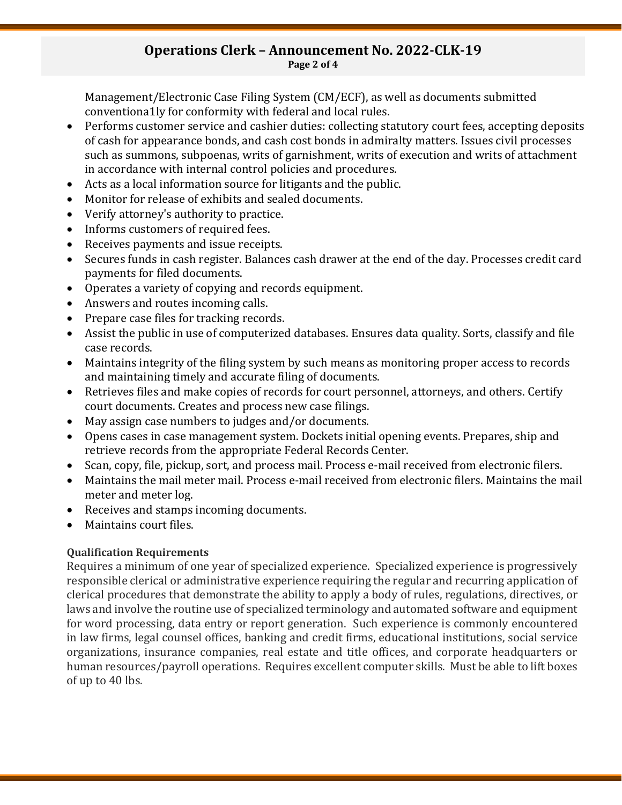#### **Operations Clerk – Announcement No. 2022-CLK-19 Page 2 of 4**

Management/Electronic Case Filing System (CM/ECF), as well as documents submitted conventiona1ly for conformity with federal and local rules.

- Performs customer service and cashier duties: collecting statutory court fees, accepting deposits of cash for appearance bonds, and cash cost bonds in admiralty matters. Issues civil processes such as summons, subpoenas, writs of garnishment, writs of execution and writs of attachment in accordance with internal control policies and procedures.
- Acts as a local information source for litigants and the public.
- Monitor for release of exhibits and sealed documents.
- Verify attorney's authority to practice.
- Informs customers of required fees.
- Receives payments and issue receipts.
- Secures funds in cash register. Balances cash drawer at the end of the day. Processes credit card payments for filed documents.
- Operates a variety of copying and records equipment.
- Answers and routes incoming calls.
- Prepare case files for tracking records.
- Assist the public in use of computerized databases. Ensures data quality. Sorts, classify and file case records.
- Maintains integrity of the filing system by such means as monitoring proper access to records and maintaining timely and accurate filing of documents.
- Retrieves files and make copies of records for court personnel, attorneys, and others. Certify court documents. Creates and process new case filings.
- May assign case numbers to judges and/or documents.
- Opens cases in case management system. Dockets initial opening events. Prepares, ship and retrieve records from the appropriate Federal Records Center.
- Scan, copy, file, pickup, sort, and process mail. Process e-mail received from electronic filers.
- Maintains the mail meter mail. Process e-mail received from electronic filers. Maintains the mail meter and meter log.
- Receives and stamps incoming documents.
- Maintains court files.

### **Qualification Requirements**

Requires a minimum of one year of specialized experience. Specialized experience is progressively responsible clerical or administrative experience requiring the regular and recurring application of clerical procedures that demonstrate the ability to apply a body of rules, regulations, directives, or laws and involve the routine use of specialized terminology and automated software and equipment for word processing, data entry or report generation. Such experience is commonly encountered in law firms, legal counsel offices, banking and credit firms, educational institutions, social service organizations, insurance companies, real estate and title offices, and corporate headquarters or human resources/payroll operations. Requires excellent computer skills. Must be able to lift boxes of up to 40 lbs.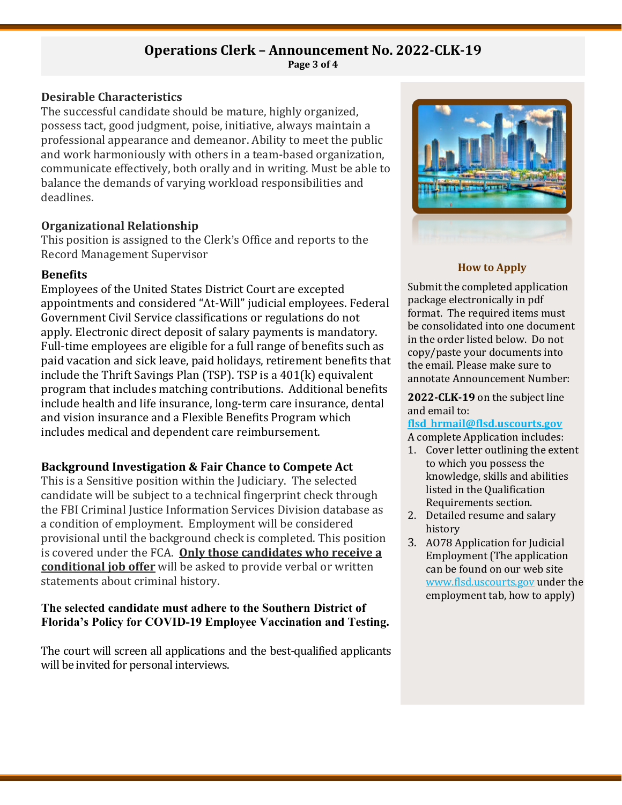#### **Operations Clerk – Announcement No. 2022-CLK-19 Page 3 of 4**

#### **Desirable Characteristics**

The successful candidate should be mature, highly organized, possess tact, good judgment, poise, initiative, always maintain a professional appearance and demeanor. Ability to meet the public and work harmoniously with others in a team-based organization, communicate effectively, both orally and in writing. Must be able to balance the demands of varying workload responsibilities and deadlines.

#### **Organizational Relationship**

This position is assigned to the Clerk's Office and reports to the Record Management Supervisor

#### **Benefits**

Employees of the United States District Court are excepted appointments and considered "At-Will" judicial employees. Federal Government Civil Service classifications or regulations do not apply. Electronic direct deposit of salary payments is mandatory. Full-time employees are eligible for a full range of benefits such as paid vacation and sick leave, paid holidays, retirement benefits that include the Thrift Savings Plan (TSP). TSP is a 401(k) equivalent program that includes matching contributions. Additional benefits include health and life insurance, long-term care insurance, dental and vision insurance and a Flexible Benefits Program which includes medical and dependent care reimbursement.

### **Background Investigation & Fair Chance to Compete Act**

This is a Sensitive position within the Judiciary. The selected candidate will be subject to a technical fingerprint check through the FBI Criminal Justice Information Services Division database as a condition of employment. Employment will be considered provisional until the background check is completed. This position is covered under the FCA. **Only those candidates who receive a conditional job offer** will be asked to provide verbal or written statements about criminal history.

#### **The selected candidate must adhere to the Southern District of Florida's Policy for COVID-19 Employee Vaccination and Testing.**

The court will screen all applications and the best-qualified applicants will be invited for personal interviews.



#### **How to Apply**

Submit the completed application package electronically in pdf format. The required items must be consolidated into one document in the order listed below. Do not copy/paste your documents into the email. Please make sure to annotate Announcement Number:

**2022-CLK-19** on the subject line and email to:

#### **[flsd\\_hrmail@flsd.uscourts.gov](mailto:flsd_hrmail@flsd.uscourts.gov)**

A complete Application includes:

- 1. Cover letter outlining the extent to which you possess the knowledge, skills and abilities listed in the Qualification Requirements section.
- 2. Detailed resume and salary history
- 3. AO78 Application for Judicial Employment (The application can be found on our web site [www.flsd.uscourts.gov](http://www.flsd.uscourts.gov/) under the employment tab, how to apply)